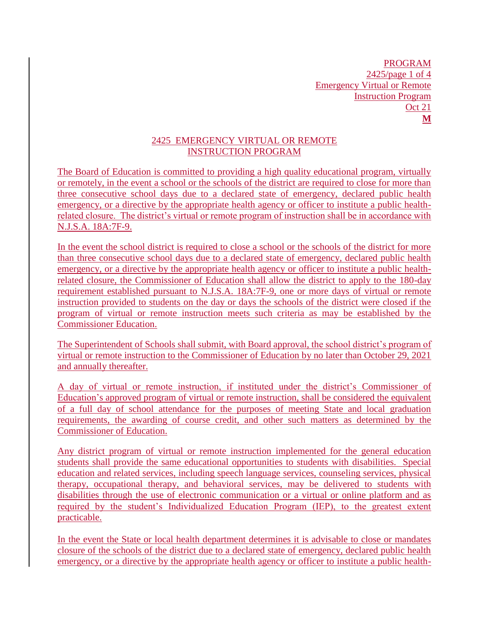## 2425 EMERGENCY VIRTUAL OR REMOTE INSTRUCTION PROGRAM

The Board of Education is committed to providing a high quality educational program, virtually or remotely, in the event a school or the schools of the district are required to close for more than three consecutive school days due to a declared state of emergency, declared public health emergency, or a directive by the appropriate health agency or officer to institute a public healthrelated closure. The district's virtual or remote program of instruction shall be in accordance with N.J.S.A. 18A:7F-9.

In the event the school district is required to close a school or the schools of the district for more than three consecutive school days due to a declared state of emergency, declared public health emergency, or a directive by the appropriate health agency or officer to institute a public healthrelated closure, the Commissioner of Education shall allow the district to apply to the 180-day requirement established pursuant to N.J.S.A. 18A:7F-9, one or more days of virtual or remote instruction provided to students on the day or days the schools of the district were closed if the program of virtual or remote instruction meets such criteria as may be established by the Commissioner Education.

The Superintendent of Schools shall submit, with Board approval, the school district's program of virtual or remote instruction to the Commissioner of Education by no later than October 29, 2021 and annually thereafter.

A day of virtual or remote instruction, if instituted under the district's Commissioner of Education's approved program of virtual or remote instruction, shall be considered the equivalent of a full day of school attendance for the purposes of meeting State and local graduation requirements, the awarding of course credit, and other such matters as determined by the Commissioner of Education.

Any district program of virtual or remote instruction implemented for the general education students shall provide the same educational opportunities to students with disabilities. Special education and related services, including speech language services, counseling services, physical therapy, occupational therapy, and behavioral services, may be delivered to students with disabilities through the use of electronic communication or a virtual or online platform and as required by the student's Individualized Education Program (IEP), to the greatest extent practicable.

In the event the State or local health department determines it is advisable to close or mandates closure of the schools of the district due to a declared state of emergency, declared public health emergency, or a directive by the appropriate health agency or officer to institute a public health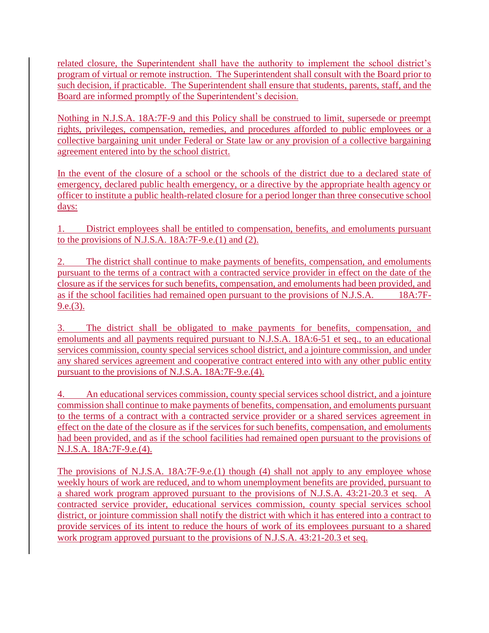related closure, the Superintendent shall have the authority to implement the school district's program of virtual or remote instruction. The Superintendent shall consult with the Board prior to such decision, if practicable. The Superintendent shall ensure that students, parents, staff, and the Board are informed promptly of the Superintendent's decision.

Nothing in N.J.S.A. 18A:7F-9 and this Policy shall be construed to limit, supersede or preempt rights, privileges, compensation, remedies, and procedures afforded to public employees or a collective bargaining unit under Federal or State law or any provision of a collective bargaining agreement entered into by the school district.

In the event of the closure of a school or the schools of the district due to a declared state of emergency, declared public health emergency, or a directive by the appropriate health agency or officer to institute a public health-related closure for a period longer than three consecutive school days:

1. District employees shall be entitled to compensation, benefits, and emoluments pursuant to the provisions of N.J.S.A.  $18A:7F-9.e.(1)$  and (2).

2. The district shall continue to make payments of benefits, compensation, and emoluments pursuant to the terms of a contract with a contracted service provider in effect on the date of the closure as if the services for such benefits, compensation, and emoluments had been provided, and as if the school facilities had remained open pursuant to the provisions of N.J.S.A. 18A:7F- $9.e.(3).$ 

3. The district shall be obligated to make payments for benefits, compensation, and emoluments and all payments required pursuant to N.J.S.A. 18A:6-51 et seq., to an educational services commission, county special services school district, and a jointure commission, and under any shared services agreement and cooperative contract entered into with any other public entity pursuant to the provisions of N.J.S.A. 18A:7F-9.e.(4).

4. An educational services commission, county special services school district, and a jointure commission shall continue to make payments of benefits, compensation, and emoluments pursuant to the terms of a contract with a contracted service provider or a shared services agreement in effect on the date of the closure as if the services for such benefits, compensation, and emoluments had been provided, and as if the school facilities had remained open pursuant to the provisions of N.J.S.A. 18A:7F-9.e.(4).

The provisions of N.J.S.A. 18A:7F-9.e.(1) though (4) shall not apply to any employee whose weekly hours of work are reduced, and to whom unemployment benefits are provided, pursuant to a shared work program approved pursuant to the provisions of N.J.S.A. 43:21-20.3 et seq. A contracted service provider, educational services commission, county special services school district, or jointure commission shall notify the district with which it has entered into a contract to provide services of its intent to reduce the hours of work of its employees pursuant to a shared work program approved pursuant to the provisions of N.J.S.A. 43:21-20.3 et seq.